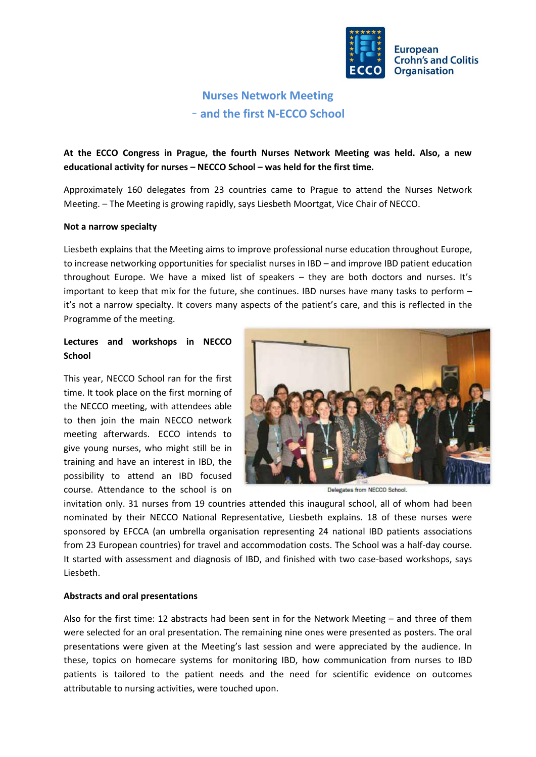

# **Nurses Network Meeting** – **and the first N-ECCO School**

**At the ECCO Congress in Prague, the fourth Nurses Network Meeting was held. Also, a new educational activity for nurses – NECCO School – was held for the first time.**

Approximately 160 delegates from 23 countries came to Prague to attend the Nurses Network Meeting. – The Meeting is growing rapidly, says Liesbeth Moortgat, Vice Chair of NECCO.

#### **Not a narrow specialty**

Liesbeth explains that the Meeting aims to improve professional nurse education throughout Europe, to increase networking opportunities for specialist nurses in IBD – and improve IBD patient education throughout Europe. We have a mixed list of speakers – they are both doctors and nurses. It's important to keep that mix for the future, she continues. IBD nurses have many tasks to perform – it's not a narrow specialty. It covers many aspects of the patient's care, and this is reflected in the Programme of the meeting.

## **Lectures and workshops in NECCO School**

This year, NECCO School ran for the first time. It took place on the first morning of the NECCO meeting, with attendees able to then join the main NECCO network meeting afterwards. ECCO intends to give young nurses, who might still be in training and have an interest in IBD, the possibility to attend an IBD focused course. Attendance to the school is on



Delegates from NECCO School.

invitation only. 31 nurses from 19 countries attended this inaugural school, all of whom had been nominated by their NECCO National Representative, Liesbeth explains. 18 of these nurses were sponsored by EFCCA (an umbrella organisation representing 24 national IBD patients associations from 23 European countries) for travel and accommodation costs. The School was a half-day course. It started with assessment and diagnosis of IBD, and finished with two case-based workshops, says Liesbeth.

### **Abstracts and oral presentations**

Also for the first time: 12 abstracts had been sent in for the Network Meeting – and three of them were selected for an oral presentation. The remaining nine ones were presented as posters. The oral presentations were given at the Meeting's last session and were appreciated by the audience. In these, topics on homecare systems for monitoring IBD, how communication from nurses to IBD patients is tailored to the patient needs and the need for scientific evidence on outcomes attributable to nursing activities, were touched upon.